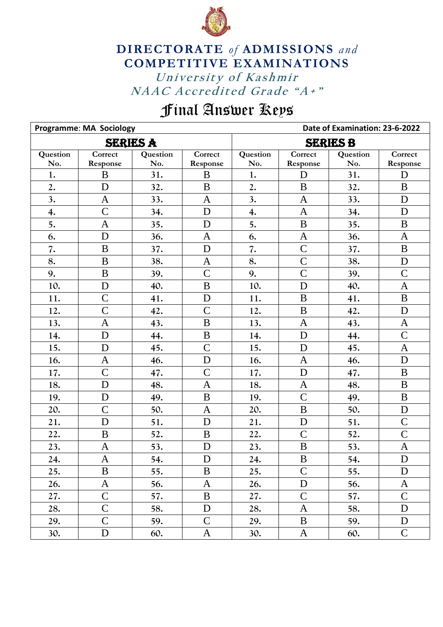

## University of Kashmir NAAC Accredited Grade "A+" **DIRECTORATE** *of* **ADMISSIONS** *and* **COMPETITIVE EXAMINATIONS**

## Final Answer Keys

|                 | <b>Programme: MA Sociology</b> |          |                | Date of Examination: 23-6-2022 |                |          |                |  |
|-----------------|--------------------------------|----------|----------------|--------------------------------|----------------|----------|----------------|--|
| <b>SERIES A</b> |                                |          |                | <b>SERIES B</b>                |                |          |                |  |
| Question        | Correct                        | Question | Correct        | Question                       | Correct        | Question | Correct        |  |
| No.             | Response                       | No.      | Response       | No.                            | Response       | No.      | Response       |  |
| 1.              | B                              | 31.      | B              | 1.                             | D              | 31.      | D              |  |
| 2.              | D                              | 32.      | B              | 2.                             | $\bf{B}$       | 32.      | B              |  |
| 3.              | $\mathbf{A}$                   | 33.      | $\mathbf{A}$   | 3.                             | $\mathbf{A}$   | 33.      | $\mathbf D$    |  |
| 4.              | $\overline{C}$                 | 34.      | D              | 4.                             | $\mathbf{A}$   | 34.      | D              |  |
| 5.              | $\mathbf{A}$                   | 35.      | D              | 5.                             | B              | 35.      | $\mathbf B$    |  |
| 6.              | D                              | 36.      | $\mathbf{A}$   | 6.                             | $\mathbf{A}$   | 36.      | $\mathbf{A}$   |  |
| 7.              | $\mathbf{B}$                   | 37.      | D              | 7.                             | $\overline{C}$ | 37.      | $\overline{B}$ |  |
| 8.              | $\bf{B}$                       | 38.      | $\mathbf{A}$   | 8.                             | $\overline{C}$ | 38.      | $\mathbf D$    |  |
| 9.              | $\, {\bf B}$                   | 39.      | $\overline{C}$ | 9.                             | $\overline{C}$ | 39.      | $\mathcal{C}$  |  |
| 10.             | D                              | 40.      | $\mathbf B$    | 10.                            | D              | 40.      | $\mathbf{A}$   |  |
| 11.             | $\mathcal{C}$                  | 41.      | D              | 11.                            | B              | 41.      | $\bf{B}$       |  |
| 12.             | $\overline{C}$                 | 42.      | $\mathcal{C}$  | 12.                            | B              | 42.      | D              |  |
| 13.             | $\mathbf{A}$                   | 43.      | $\overline{B}$ | 13.                            | $\mathbf{A}$   | 43.      | A              |  |
| 14.             | D                              | 44.      | $\bf{B}$       | 14.                            | D              | 44.      | $\mathcal{C}$  |  |
| 15.             | D                              | 45.      | $\overline{C}$ | 15.                            | D              | 45.      | $\mathbf{A}$   |  |
| 16.             | $\mathbf{A}$                   | 46.      | $\mathbf D$    | 16.                            | $\mathbf{A}$   | 46.      | ${\bf D}$      |  |
| 17.             | $\overline{C}$                 | 47.      | $\overline{C}$ | 17.                            | D              | 47.      | $\bf{B}$       |  |
| 18.             | D                              | 48.      | $\mathbf{A}$   | 18.                            | $\mathbf{A}$   | 48.      | $\bf{B}$       |  |
| 19.             | D                              | 49.      | $\mathbf B$    | 19.                            | $\overline{C}$ | 49.      | $\bf{B}$       |  |
| 20.             | $\overline{C}$                 | 50.      | $\mathbf{A}$   | 20.                            | $\overline{B}$ | 50.      | D              |  |
| 21.             | D                              | 51.      | D              | 21.                            | $\mathbf D$    | 51.      | $\mathcal{C}$  |  |
| 22.             | $\mathbf B$                    | 52.      | $\, {\bf B}$   | 22.                            | $\overline{C}$ | 52.      | $\overline{C}$ |  |
| 23.             | $\mathbf{A}$                   | 53.      | D              | 23.                            | B              | 53.      | A              |  |
| 24.             | A                              | 54.      | D              | 24.                            | B              | 54.      | D              |  |
| 25.             | $\bf{B}$                       | 55.      | $\bf{B}$       | 25.                            | $\mathbf C$    | 55.      | D              |  |
| 26.             | A                              | 56.      | A              | 26.                            | $\mathbf D$    | 56.      | A              |  |
| 27.             | $\mathbf C$                    | 57.      | $\bf{B}$       | 27.                            | $\mathbf C$    | 57.      | $\mathcal{C}$  |  |
| 28.             | $\mathcal{C}$                  | 58.      | $\mathbf D$    | 28.                            | $\mathbf{A}$   | 58.      | D              |  |
| 29.             | $\overline{C}$                 | 59.      | $\mathbf C$    | 29.                            | B              | 59.      | D              |  |
| 30.             | $\mathbf D$                    | 60.      | $\mathbf{A}$   | 30.                            | $\mathbf{A}$   | 60.      | $\overline{C}$ |  |